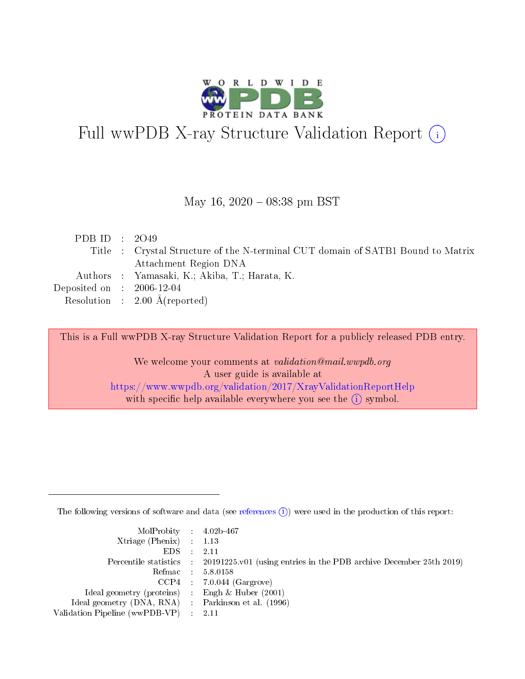

# Full wwPDB X-ray Structure Validation Report (i)

#### May 16,  $2020 - 08:38$  pm BST

| PDB ID : $2049$             |                                                                                 |
|-----------------------------|---------------------------------------------------------------------------------|
|                             | Title : Crystal Structure of the N-terminal CUT domain of SATB1 Bound to Matrix |
|                             | Attachment Region DNA                                                           |
|                             | Authors : Yamasaki, K.; Akiba, T.; Harata, K.                                   |
| Deposited on : $2006-12-04$ |                                                                                 |
|                             | Resolution : $2.00 \text{ Å}$ (reported)                                        |

This is a Full wwPDB X-ray Structure Validation Report for a publicly released PDB entry.

We welcome your comments at validation@mail.wwpdb.org A user guide is available at <https://www.wwpdb.org/validation/2017/XrayValidationReportHelp> with specific help available everywhere you see the  $(i)$  symbol.

The following versions of software and data (see [references](https://www.wwpdb.org/validation/2017/XrayValidationReportHelp#references)  $(i)$ ) were used in the production of this report:

| MolProbity : 4.02b-467                              |                                                                                            |
|-----------------------------------------------------|--------------------------------------------------------------------------------------------|
| $Xtriangle (Phenix)$ : 1.13                         |                                                                                            |
| $EDS = 2.11$                                        |                                                                                            |
|                                                     | Percentile statistics : 20191225.v01 (using entries in the PDB archive December 25th 2019) |
|                                                     | Refmac : 5.8.0158                                                                          |
|                                                     | $CCP4$ : 7.0.044 (Gargrove)                                                                |
| Ideal geometry (proteins) : Engh $\&$ Huber (2001)  |                                                                                            |
| Ideal geometry (DNA, RNA) : Parkinson et al. (1996) |                                                                                            |
| Validation Pipeline (wwPDB-VP) : 2.11               |                                                                                            |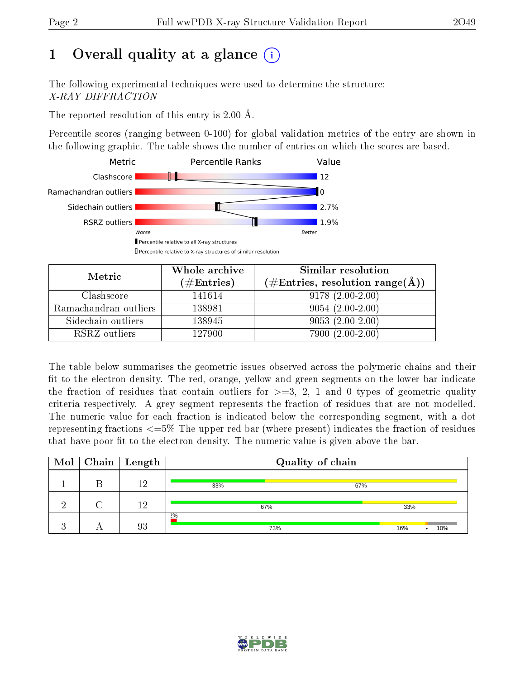# 1 [O](https://www.wwpdb.org/validation/2017/XrayValidationReportHelp#overall_quality)verall quality at a glance  $(i)$

The following experimental techniques were used to determine the structure: X-RAY DIFFRACTION

The reported resolution of this entry is 2.00 Å.

Percentile scores (ranging between 0-100) for global validation metrics of the entry are shown in the following graphic. The table shows the number of entries on which the scores are based.



| Metric                | Whole archive<br>$(\#\text{Entries})$ | Similar resolution<br>$(\#\text{Entries}, \text{resolution range}(\AA))$ |
|-----------------------|---------------------------------------|--------------------------------------------------------------------------|
| Clashscore            | 141614                                | $9178(2.00-2.00)$                                                        |
| Ramachandran outliers | 138981                                | $9054(2.00-2.00)$                                                        |
| Sidechain outliers    | 138945                                | $9053(2.00-2.00)$                                                        |
| RSRZ outliers         | 127900                                | $7900(2.00-2.00)$                                                        |

The table below summarises the geometric issues observed across the polymeric chains and their fit to the electron density. The red, orange, yellow and green segments on the lower bar indicate the fraction of residues that contain outliers for  $\geq=3$ , 2, 1 and 0 types of geometric quality criteria respectively. A grey segment represents the fraction of residues that are not modelled. The numeric value for each fraction is indicated below the corresponding segment, with a dot representing fractions  $\epsilon = 5\%$  The upper red bar (where present) indicates the fraction of residues that have poor fit to the electron density. The numeric value is given above the bar.

| Mol      |   | $\sqrt{\phantom{a}}$ Chain $\sqrt{\phantom{a}}$ Length | Quality of chain |            |
|----------|---|--------------------------------------------------------|------------------|------------|
|          | F | 19                                                     | 33%              | 67%        |
| $\Omega$ |   | 12                                                     | 67%              | 33%        |
|          |   | 93                                                     | $2\%$<br>73%     | 16%<br>10% |

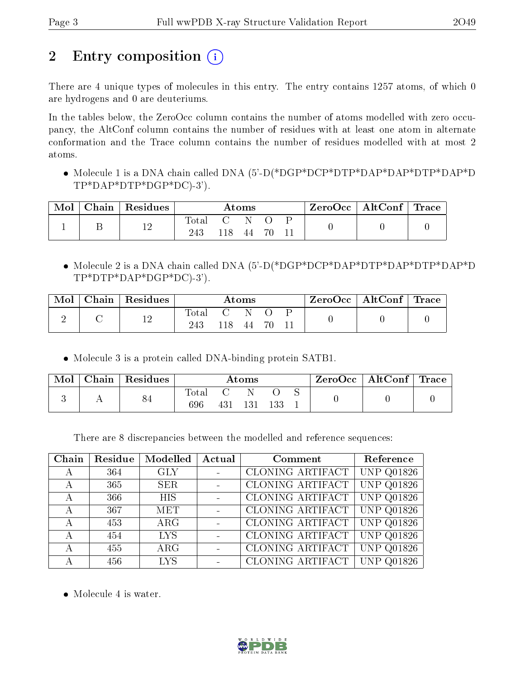# 2 Entry composition  $\left( \cdot \right)$

There are 4 unique types of molecules in this entry. The entry contains 1257 atoms, of which 0 are hydrogens and 0 are deuteriums.

In the tables below, the ZeroOcc column contains the number of atoms modelled with zero occupancy, the AltConf column contains the number of residues with at least one atom in alternate conformation and the Trace column contains the number of residues modelled with at most 2 atoms.

 Molecule 1 is a DNA chain called DNA (5'-D(\*DGP\*DCP\*DTP\*DAP\*DAP\*DTP\*DAP\*D TP\*DAP\*DTP\*DGP\*DC)-3').

| Mol | $Chain   Residues$ |                    |                            | Atoms |  | $\text{ZeroOcc} \mid \text{AltConf} \mid \text{Trace} \mid$ |  |
|-----|--------------------|--------------------|----------------------------|-------|--|-------------------------------------------------------------|--|
|     | 1 ດ                | $\rm Total$<br>243 | $\sim$ 0.000 $\sim$<br>118 | -44   |  |                                                             |  |

 Molecule 2 is a DNA chain called DNA (5'-D(\*DGP\*DCP\*DAP\*DTP\*DAP\*DTP\*DAP\*D TP\*DTP\*DAP\*DGP\*DC)-3').

| Mol | Chain   Residues |                |      | $\rm{Atoms}$ |  | $\text{ZeroOcc} \mid \text{AltConf} \mid \text{Trace}$ |  |
|-----|------------------|----------------|------|--------------|--|--------------------------------------------------------|--|
|     | 1 ຕ              | $\text{Total}$ | 118. | N<br>44      |  |                                                        |  |

Molecule 3 is a protein called DNA-binding protein SATB1.

| Mol | Chain | Residues |              |     | $\rm{Atoms}$ |     |  | $ZeroOcc \mid AltConf \mid Trace \mid$ |  |
|-----|-------|----------|--------------|-----|--------------|-----|--|----------------------------------------|--|
|     |       | 84       | Total<br>696 | 431 | 131          | 133 |  |                                        |  |

There are 8 discrepancies between the modelled and reference sequences:

| Chain | Residue | Modelled   | Actual | Comment                 | Reference          |
|-------|---------|------------|--------|-------------------------|--------------------|
| А     | 364     | <b>GLY</b> |        | CLONING ARTIFACT        | <b>UNP Q01826</b>  |
| А     | 365     | <b>SER</b> |        | CLONING ARTIFACT        | <b>UNP Q01826</b>  |
| А     | 366     | <b>HIS</b> |        | CLONING ARTIFACT        | <b>UNP Q01826</b>  |
| А     | 367     | <b>MET</b> |        | CLONING ARTIFACT        | <b>UNP Q01826</b>  |
| А     | 453     | $\rm{ARG}$ |        | CLONING ARTIFACT        | <b>UNP Q01826</b>  |
| А     | 454     | <b>LYS</b> |        | <b>CLONING ARTIFACT</b> | <b>UNP Q01826</b>  |
| А     | 455     | $\rm{ARG}$ |        | <b>CLONING ARTIFACT</b> | UNP<br>Q01826      |
|       | 456     | <b>LYS</b> |        | <b>CLONING ARTIFACT</b> | <b>UNP</b><br>1826 |

• Molecule 4 is water.

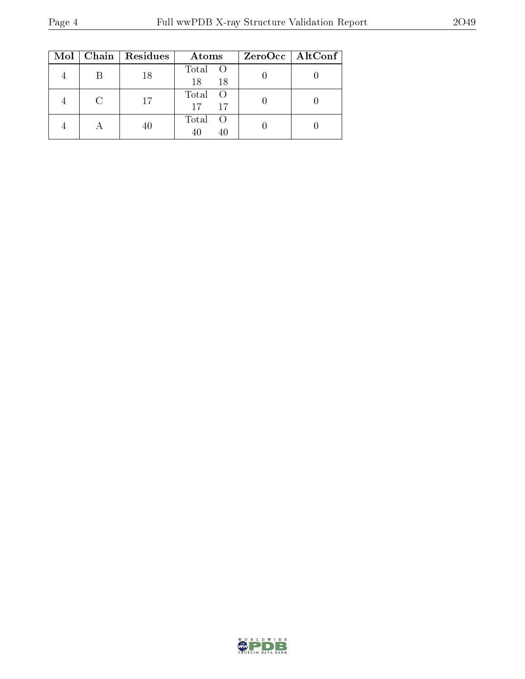|  | Mol   Chain   Residues | Atoms                        | ZeroOcc   AltConf |
|--|------------------------|------------------------------|-------------------|
|  | 18                     | Total O<br>18<br>18          |                   |
|  | 17                     | Total O<br>17<br>17          |                   |
|  |                        | Total<br><sup>()</sup><br>40 |                   |

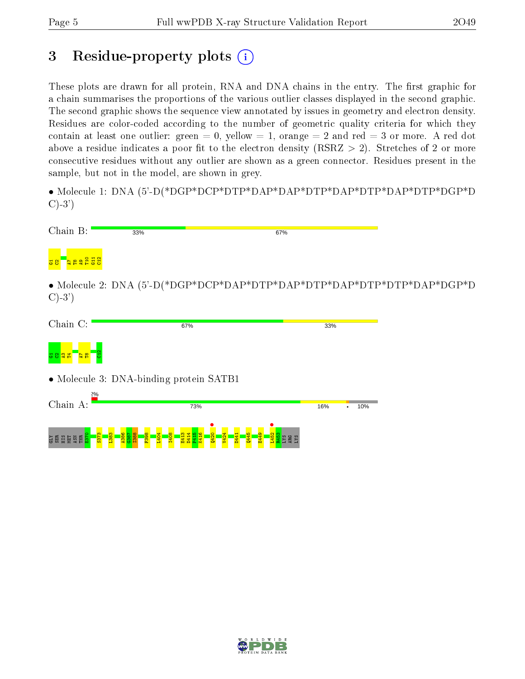# 3 Residue-property plots  $(i)$

These plots are drawn for all protein, RNA and DNA chains in the entry. The first graphic for a chain summarises the proportions of the various outlier classes displayed in the second graphic. The second graphic shows the sequence view annotated by issues in geometry and electron density. Residues are color-coded according to the number of geometric quality criteria for which they contain at least one outlier: green  $= 0$ , yellow  $= 1$ , orange  $= 2$  and red  $= 3$  or more. A red dot above a residue indicates a poor fit to the electron density (RSRZ  $> 2$ ). Stretches of 2 or more consecutive residues without any outlier are shown as a green connector. Residues present in the sample, but not in the model, are shown in grey.

• Molecule 1: DNA (5'-D(\*DGP\*DCP\*DTP\*DAP\*DAP\*DTP\*DAP\*DTP\*DAP\*DTP\*DGP\*D  $C$ )-3')

| Chain B:        | 33%                                     |     | 67% |     |                                                                          |
|-----------------|-----------------------------------------|-----|-----|-----|--------------------------------------------------------------------------|
| $\frac{21}{12}$ |                                         |     |     |     |                                                                          |
| $C$ )-3')       |                                         |     |     |     | • Molecule 2: DNA $(5'-D(*DGP*DCP*DAP*DTP*DAP*DTP*DAP*DTP*DTP*DAP*DGP*D$ |
| Chain C:        |                                         | 67% | 33% |     |                                                                          |
|                 |                                         |     |     |     |                                                                          |
|                 | • Molecule 3: DNA-binding protein SATB1 |     |     |     |                                                                          |
| 2%<br>Chain A:  |                                         | 73% | 16% | 10% |                                                                          |
| គិន្ទិផ្ត       |                                         |     |     |     |                                                                          |

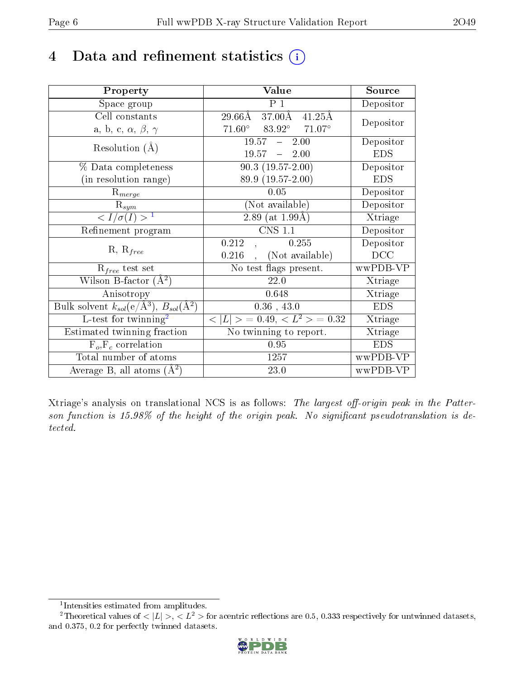# 4 Data and refinement statistics  $(i)$

| Property                                                                | Value                                             | Source     |
|-------------------------------------------------------------------------|---------------------------------------------------|------------|
| Space group                                                             | $P_1$                                             | Depositor  |
| Cell constants                                                          | 37.00Å<br>29.66Å<br>$41.25\text{\AA}$             | Depositor  |
| a, b, c, $\alpha$ , $\beta$ , $\gamma$                                  | $71.60^\circ$<br>$83.92^\circ$<br>$71.07^{\circ}$ |            |
| Resolution $(A)$                                                        | $19.57 - 2.00$                                    | Depositor  |
|                                                                         | $19.57 - 2.00$                                    | <b>EDS</b> |
| % Data completeness                                                     | $90.3(19.57-2.00)$                                | Depositor  |
| (in resolution range)                                                   | 89.9 (19.57-2.00)                                 | <b>EDS</b> |
| $R_{merge}$                                                             | 0.05                                              | Depositor  |
| $\mathrm{R}_{sym}$                                                      | (Not available)                                   | Depositor  |
| $\langle I/\sigma(I) \rangle^{-1}$                                      | 2.89 (at $1.99\text{\AA}$ )                       | Xtriage    |
| Refinement program                                                      | <b>CNS 1.1</b>                                    | Depositor  |
|                                                                         | 0.212<br>0.255                                    | Depositor  |
| $R, R_{free}$                                                           | (Not available)<br>0.216                          | DCC        |
| $\mathcal{R}_{free}$ test set                                           | No test flags present.                            | wwPDB-VP   |
| Wilson B-factor $(A^2)$                                                 | 22.0                                              | Xtriage    |
| Anisotropy                                                              | 0.648                                             | Xtriage    |
| Bulk solvent $k_{sol}(\mathrm{e}/\mathrm{A}^3),\,B_{sol}(\mathrm{A}^2)$ | $0.36$ , 43.0                                     | <b>EDS</b> |
| $L$ -test for twinning <sup>2</sup>                                     | $< L >$ = 0.49, $< L^2 >$ = 0.32                  | Xtriage    |
| Estimated twinning fraction                                             | No twinning to report.                            | Xtriage    |
| $F_o, F_c$ correlation                                                  | 0.95                                              | <b>EDS</b> |
| Total number of atoms                                                   | 1257                                              | wwPDB-VP   |
| Average B, all atoms $(A^2)$                                            | 23.0                                              | wwPDB-VP   |

Xtriage's analysis on translational NCS is as follows: The largest off-origin peak in the Patterson function is  $15.98\%$  of the height of the origin peak. No significant pseudotranslation is detected.

<sup>&</sup>lt;sup>2</sup>Theoretical values of  $\langle |L| \rangle$ ,  $\langle L^2 \rangle$  for acentric reflections are 0.5, 0.333 respectively for untwinned datasets, and 0.375, 0.2 for perfectly twinned datasets.



<span id="page-5-1"></span><span id="page-5-0"></span><sup>1</sup> Intensities estimated from amplitudes.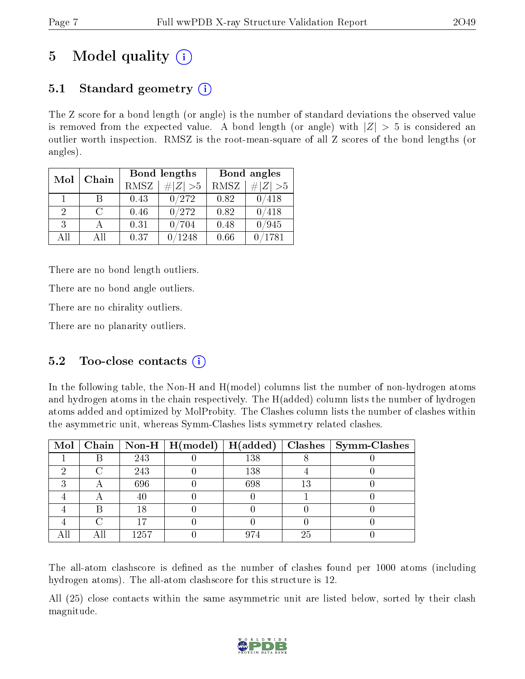# 5 Model quality  $(i)$

## 5.1 Standard geometry  $(i)$

The Z score for a bond length (or angle) is the number of standard deviations the observed value is removed from the expected value. A bond length (or angle) with  $|Z| > 5$  is considered an outlier worth inspection. RMSZ is the root-mean-square of all Z scores of the bond lengths (or angles).

| Mol           | Chain |      | Bond lengths | Bond angles |                 |  |
|---------------|-------|------|--------------|-------------|-----------------|--|
|               |       | RMSZ | # $ Z  > 5$  | RMSZ        | $\# Z  > 5$     |  |
| 1.            | B     | 0.43 | 0/272        | 0.82        | 0/418           |  |
| $\mathcal{D}$ | C     | 0.46 | 0/272        | 0.82        | 0/418           |  |
| $\mathcal{R}$ |       | 0.31 | /704         | 0.48        | 0/945           |  |
| AH            | Αll   | 0.37 | 1248         | 0.66        | $^{\prime}1781$ |  |

There are no bond length outliers.

There are no bond angle outliers.

There are no chirality outliers.

There are no planarity outliers.

### 5.2 Too-close contacts (i)

In the following table, the Non-H and H(model) columns list the number of non-hydrogen atoms and hydrogen atoms in the chain respectively. The H(added) column lists the number of hydrogen atoms added and optimized by MolProbity. The Clashes column lists the number of clashes within the asymmetric unit, whereas Symm-Clashes lists symmetry related clashes.

|  |      | Mol   Chain   Non-H   $H(model)$   $H(added)$ |     |    | Clashes   Symm-Clashes |
|--|------|-----------------------------------------------|-----|----|------------------------|
|  | 243  |                                               | 138 |    |                        |
|  | 243  |                                               | 138 |    |                        |
|  | 696  |                                               | 698 | 13 |                        |
|  | 40   |                                               |     |    |                        |
|  | 18   |                                               |     |    |                        |
|  |      |                                               |     |    |                        |
|  | 1257 |                                               | 974 | 25 |                        |

The all-atom clashscore is defined as the number of clashes found per 1000 atoms (including hydrogen atoms). The all-atom clashscore for this structure is 12.

All (25) close contacts within the same asymmetric unit are listed below, sorted by their clash magnitude.

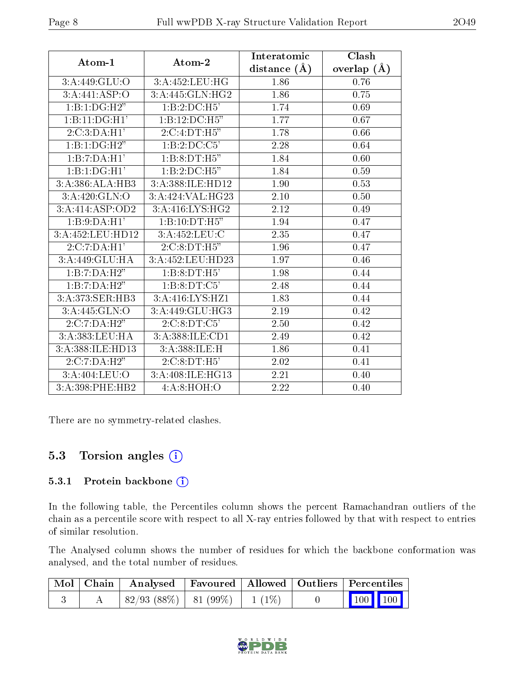| Atom-1                                | Atom-2                     | Interatomic      | Clash         |
|---------------------------------------|----------------------------|------------------|---------------|
|                                       |                            | distance $(\AA)$ | overlap $(A)$ |
| 3:A:449:GLU:O                         | 3:A:452:LEU:HG             | 1.86             | 0.76          |
| 3:A:441:ASP:O                         | 3:A:445:GLN:HG2            | 1.86             | 0.75          |
| 1:B:1:DG:H2"                          | 1:B:2:D C:H5'              | 1.74             | 0.69          |
| 1:B:11:DG:H1'                         | $1:B:12:DC:H\overline{5"}$ | 1.77             | 0.67          |
| 2:C:3:DA:H1'                          | 2:C:4:DT:H5"               | 1.78             | 0.66          |
| 1:B:1:DG:H2"                          | 1:B:2:DC:C5'               | 2.28             | 0.64          |
| 1:B:7:DA:H1'                          | 1:B:8:DT:H5"               | 1.84             | 0.60          |
| 1:B:1:DG:H1'                          | 1:B:2:D C:H5"              | 1.84             | 0.59          |
| 3:A:386:ALA:HB3                       | 3:A:388:ILE:HD12           | 1.90             | 0.53          |
| 3: A:420: GLN:O                       | 3:A:424:VAL:HG23           | 2.10             | 0.50          |
| 3:A:414:ASP:OD2                       | 3:A:416:LYS:HG2            | 2.12             | 0.49          |
| 1:B:9:DA:H1'                          | 1:B:10:DT:H5"              | 1.94             | 0.47          |
| 3:A:452:LEU:HD12                      | 3:A:452:LEU:C              | 2.35             | 0.47          |
| 2:C:7:DA:H1'                          | 2:C:8:DT:H5"               | 1.96             | 0.47          |
| 3:A:449:GLU:HA                        | 3:A:452:LEU:HD23           | 1.97             | 0.46          |
| 1:B:7:DA:H2"                          | 1:B:8:DT:H5'               | 1.98             | 0.44          |
| 1:B:7:DA:H <sub>2</sub> <sup>77</sup> | 1:B:8:DT:C5'               | 2.48             | 0.44          |
| 3:A:373:SER:HB3                       | 3: A:416: LYS: HZ1         | 1.83             | 0.44          |
| 3:A:445:GLN:O                         | 3:A:449:GLU:HG3            | 2.19             | 0.42          |
| 2:C:7:DA:H2"                          | 2:C:8:DT:C5'               | 2.50             | 0.42          |
| 3:A:383:LEU:HA                        | 3:A:388:ILE:CD1            | 2.49             | 0.42          |
| 3:A:388:ILE:HD13                      | 3:A:388:ILE:H              | 1.86             | 0.41          |
| 2:C:7:DA:H2"                          | 2:C:8:DT:H5'               | 2.02             | 0.41          |
| 3:A:404:LEU:O                         | 3:A:408:ILE:HG13           | 2.21             | 0.40          |
| 3:A:398:PHE:HB2                       | 4:A:8:HOH:O                | 2.22             | 0.40          |

There are no symmetry-related clashes.

### 5.3 Torsion angles (i)

#### 5.3.1 Protein backbone (i)

In the following table, the Percentiles column shows the percent Ramachandran outliers of the chain as a percentile score with respect to all X-ray entries followed by that with respect to entries of similar resolution.

The Analysed column shows the number of residues for which the backbone conformation was analysed, and the total number of residues.

|  | Mol   Chain   Analysed   Favoured   Allowed   Outliers   Percentiles |  |  |                                                                         |
|--|----------------------------------------------------------------------|--|--|-------------------------------------------------------------------------|
|  | $ 82/93 (88\%) 81 (99\%) 1 (1\%)$                                    |  |  | $\begin{array}{ c c c c c }\n\hline\n100 & 100 & \\\hline\n\end{array}$ |

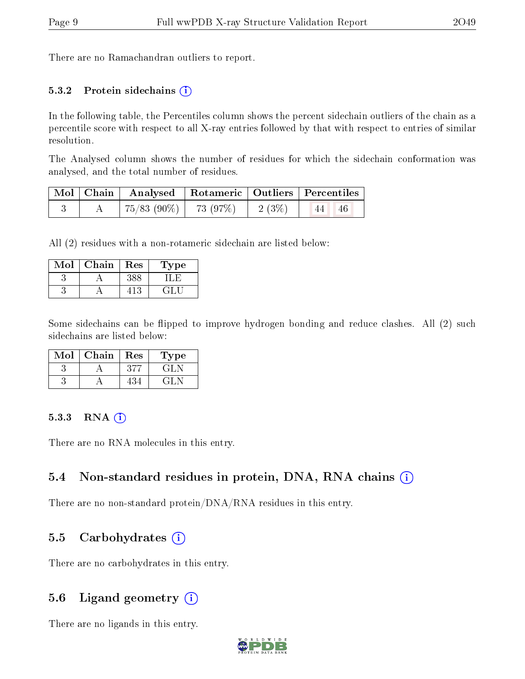There are no Ramachandran outliers to report.

#### 5.3.2 Protein sidechains (i)

In the following table, the Percentiles column shows the percent sidechain outliers of the chain as a percentile score with respect to all X-ray entries followed by that with respect to entries of similar resolution.

The Analysed column shows the number of residues for which the sidechain conformation was analysed, and the total number of residues.

|  | Mol   Chain   Analysed   Rotameric   Outliers   Percentiles |          |                           |
|--|-------------------------------------------------------------|----------|---------------------------|
|  | 75/83 (90%)   73 (97%)                                      | $2(3\%)$ | $\lceil 44 \rceil$<br>-46 |

All (2) residues with a non-rotameric sidechain are listed below:

| Mol | Chain | Res | Type |
|-----|-------|-----|------|
|     |       |     |      |
|     |       |     |      |

Some sidechains can be flipped to improve hydrogen bonding and reduce clashes. All (2) such sidechains are listed below:

| Mol | Chain | Res | Type                 |
|-----|-------|-----|----------------------|
|     |       |     | 64 E.N               |
|     |       |     | $x \in \mathbb{R}^n$ |

#### $5.3.3$  RNA  $(i)$

There are no RNA molecules in this entry.

### 5.4 Non-standard residues in protein, DNA, RNA chains  $\Omega$  $\Omega$  $\Omega$

There are no non-standard protein/DNA/RNA residues in this entry.

### 5.5 Carbohydrates  $(i)$

There are no carbohydrates in this entry.

### 5.6 Ligand geometry  $(i)$

There are no ligands in this entry.

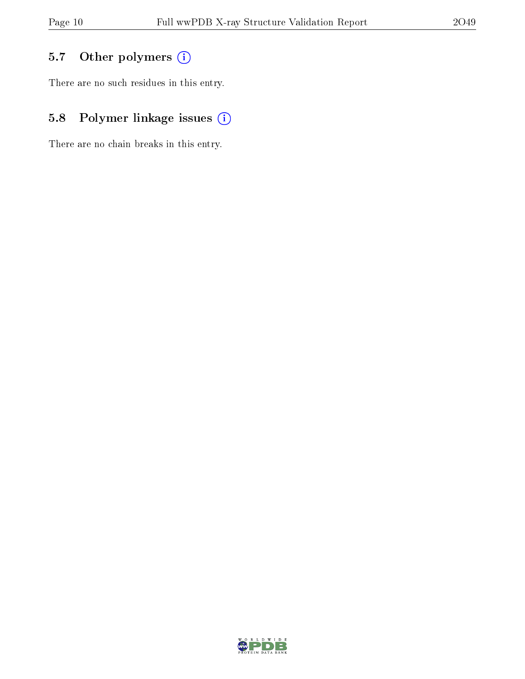## 5.7 [O](https://www.wwpdb.org/validation/2017/XrayValidationReportHelp#nonstandard_residues_and_ligands)ther polymers (i)

There are no such residues in this entry.

## 5.8 Polymer linkage issues (i)

There are no chain breaks in this entry.